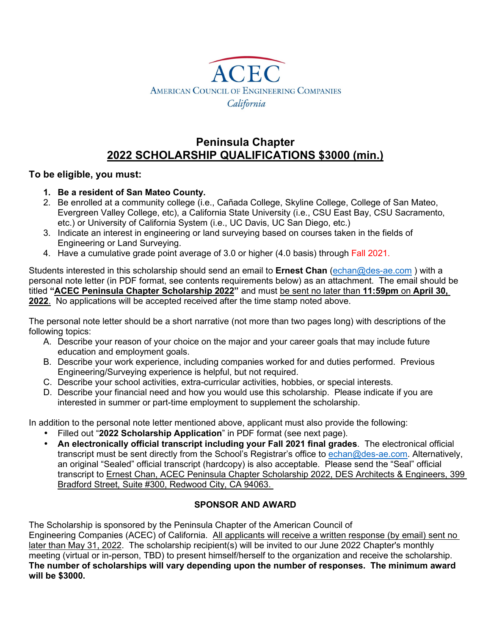

## **Peninsula Chapter 2022 SCHOLARSHIP QUALIFICATIONS \$3000 (min.)**

#### **To be eligible, you must:**

- **1. Be a resident of San Mateo County.**
- 2. Be enrolled at a community college (i.e., Cañada College, Skyline College, College of San Mateo, Evergreen Valley College, etc), a California State University (i.e., CSU East Bay, CSU Sacramento, etc.) or University of California System (i.e., UC Davis, UC San Diego, etc.)
- 3. Indicate an interest in engineering or land surveying based on courses taken in the fields of Engineering or Land Surveying.
- 4. Have a cumulative grade point average of 3.0 or higher (4.0 basis) through Fall 2021.

Students interested in this scholarship should send an email to **Ernest Chan** (echan@des-ae.com ) with a personal note letter (in PDF format, see contents requirements below) as an attachment. The email should be titled **"ACEC Peninsula Chapter Scholarship 2022"** and must be sent no later than **11:59pm** on **April 30, 2022**. No applications will be accepted received after the time stamp noted above.

The personal note letter should be a short narrative (not more than two pages long) with descriptions of the following topics:

- A. Describe your reason of your choice on the major and your career goals that may include future education and employment goals.
- B. Describe your work experience, including companies worked for and duties performed. Previous Engineering/Surveying experience is helpful, but not required.
- C. Describe your school activities, extra-curricular activities, hobbies, or special interests.
- D. Describe your financial need and how you would use this scholarship. Please indicate if you are interested in summer or part-time employment to supplement the scholarship.

In addition to the personal note letter mentioned above, applicant must also provide the following:

- Filled out "**2022 Scholarship Application**" in PDF format (see next page).
- **An electronically official transcript including your Fall 2021 final grades**. The electronical official transcript must be sent directly from the School's Registrar's office to echan@des-ae.com. Alternatively, an original "Sealed" official transcript (hardcopy) is also acceptable. Please send the "Seal" official transcript to Ernest Chan, ACEC Peninsula Chapter Scholarship 2022, DES Architects & Engineers, 399 Bradford Street, Suite #300, Redwood City, CA 94063.

#### **SPONSOR AND AWARD**

The Scholarship is sponsored by the Peninsula Chapter of the American Council of

Engineering Companies (ACEC) of California. All applicants will receive a written response (by email) sent no later than May 31, 2022. The scholarship recipient(s) will be invited to our June 2022 Chapter's monthly meeting (virtual or in-person, TBD) to present himself/herself to the organization and receive the scholarship. **The number of scholarships will vary depending upon the number of responses. The minimum award will be \$3000.**